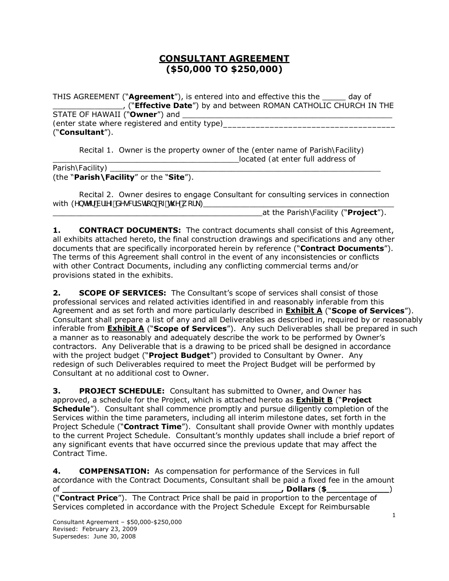# **CONSULTANT AGREEMENT (\$50,000 TO \$250,000)**

THIS AGREEMENT ("**Agreement**"), is entered into and effective this the \_\_\_\_\_ day of \_\_\_\_\_\_\_\_\_\_\_\_\_\_\_, ("**Effective Date**") by and between ROMAN CATHOLIC CHURCH IN THE STATE OF HAWAII ("Owner") and *(enter state where registered and entity type)* ("**Consultant**").

Recital 1. Owner is the property owner of the (*enter name of Parish\Facility)*  \_\_\_\_\_\_\_\_\_\_\_\_\_\_\_\_\_\_\_\_\_\_\_\_\_\_\_\_\_\_\_\_\_\_\_\_\_\_\_\_located *(at enter full address of* 

*Parish\Facility)* 

## (the "**Parish\Facility**" or the "**Site**").

Recital 2. Owner desires to engage Consultant for consulting services in connection with (*YbhYf Vf]YZ XYqWJdh]cb cZh\Y k cf\_*)

at the Parish\Facility ("**Project**").

**1. CONTRACT DOCUMENTS:** The contract documents shall consist of this Agreement, all exhibits attached hereto, the final construction drawings and specifications and any other documents that are specifically incorporated herein by reference ("**Contract Documents**"). The terms of this Agreement shall control in the event of any inconsistencies or conflicts with other Contract Documents, including any conflicting commercial terms and/or provisions stated in the exhibits.

**2. SCOPE OF SERVICES:** The Consultant's scope of services shall consist of those professional services and related activities identified in and reasonably inferable from this Agreement and as set forth and more particularly described in **Exhibit A** ("**Scope of Services**"). Consultant shall prepare a list of any and all Deliverables as described in, required by or reasonably inferable from **Exhibit A** ("**Scope of Services**"). Any such Deliverables shall be prepared in such a manner as to reasonably and adequately describe the work to be performed by Owner's contractors. Any Deliverable that is a drawing to be priced shall be designed in accordance with the project budget ("**Project Budget**") provided to Consultant by Owner. Any redesign of such Deliverables required to meet the Project Budget will be performed by Consultant at no additional cost to Owner.

**3. PROJECT SCHEDULE:** Consultant has submitted to Owner, and Owner has approved, a schedule for the Project, which is attached hereto as **Exhibit B** ("**Project Schedule**"). Consultant shall commence promptly and pursue diligently completion of the Services within the time parameters, including all interim milestone dates, set forth in the Project Schedule ("**Contract Time**"). Consultant shall provide Owner with monthly updates to the current Project Schedule. Consultant's monthly updates shall include a brief report of any significant events that have occurred since the previous update that may affect the Contract Time.

**4. COMPENSATION:** As compensation for performance of the Services in full accordance with the Contract Documents, Consultant shall be paid a fixed fee in the amount of **the contract of the contract of the contract of the contract of the contract of the contract of the contract of the contract of the contract of the contract of the contract of the contract of the contract of the contra** 

("**Contract Price**"). The Contract Price shall be paid in proportion to the percentage of Services completed in accordance with the Project Schedule Except for Reimbursable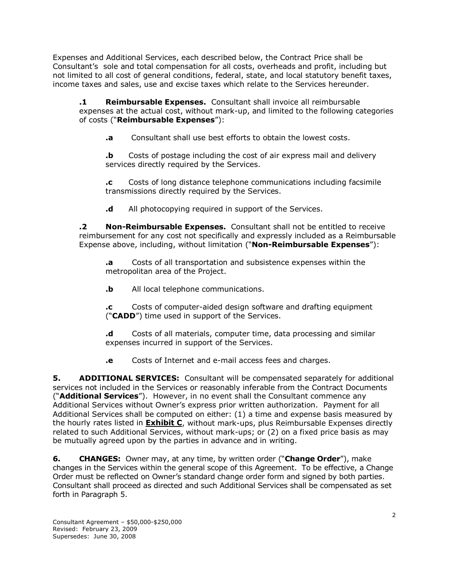Expenses and Additional Services, each described below, the Contract Price shall be Consultant's sole and total compensation for all costs, overheads and profit, including but not limited to all cost of general conditions, federal, state, and local statutory benefit taxes, income taxes and sales, use and excise taxes which relate to the Services hereunder.

**.1 Reimbursable Expenses.** Consultant shall invoice all reimbursable expenses at the actual cost, without mark-up, and limited to the following categories of costs ("**Reimbursable Expenses**"):

**.a** Consultant shall use best efforts to obtain the lowest costs.

**.b** Costs of postage including the cost of air express mail and delivery services directly required by the Services.

**.c** Costs of long distance telephone communications including facsimile transmissions directly required by the Services.

**.d** All photocopying required in support of the Services.

**.2 Non-Reimbursable Expenses.** Consultant shall not be entitled to receive reimbursement for any cost not specifically and expressly included as a Reimbursable Expense above, including, without limitation ("**Non-Reimbursable Expenses**"):

**.a** Costs of all transportation and subsistence expenses within the metropolitan area of the Project.

**.b** All local telephone communications.

**.c** Costs of computer-aided design software and drafting equipment ("**CADD**") time used in support of the Services.

**.d** Costs of all materials, computer time, data processing and similar expenses incurred in support of the Services.

**.e** Costs of Internet and e-mail access fees and charges.

**5. ADDITIONAL SERVICES:** Consultant will be compensated separately for additional services not included in the Services or reasonably inferable from the Contract Documents ("**Additional Services**"). However, in no event shall the Consultant commence any Additional Services without Owner's express prior written authorization. Payment for all Additional Services shall be computed on either: (1) a time and expense basis measured by the hourly rates listed in **Exhibit C**, without mark-ups, plus Reimbursable Expenses directly related to such Additional Services, without mark-ups; or (2) on a fixed price basis as may be mutually agreed upon by the parties in advance and in writing.

**6. CHANGES:** Owner may, at any time, by written order ("**Change Order**"), make changes in the Services within the general scope of this Agreement. To be effective, a Change Order must be reflected on Owner's standard change order form and signed by both parties. Consultant shall proceed as directed and such Additional Services shall be compensated as set forth in Paragraph 5.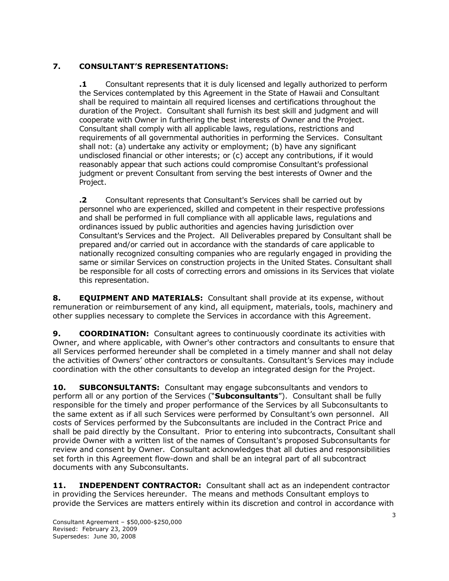## **7. CONSULTANT'S REPRESENTATIONS:**

**.1** Consultant represents that it is duly licensed and legally authorized to perform the Services contemplated by this Agreement in the State of Hawaii and Consultant shall be required to maintain all required licenses and certifications throughout the duration of the Project. Consultant shall furnish its best skill and judgment and will cooperate with Owner in furthering the best interests of Owner and the Project. Consultant shall comply with all applicable laws, regulations, restrictions and requirements of all governmental authorities in performing the Services. Consultant shall not: (a) undertake any activity or employment; (b) have any significant undisclosed financial or other interests; or (c) accept any contributions, if it would reasonably appear that such actions could compromise Consultant's professional judgment or prevent Consultant from serving the best interests of Owner and the Project.

**.2** Consultant represents that Consultant's Services shall be carried out by personnel who are experienced, skilled and competent in their respective professions and shall be performed in full compliance with all applicable laws, regulations and ordinances issued by public authorities and agencies having jurisdiction over Consultant's Services and the Project. All Deliverables prepared by Consultant shall be prepared and/or carried out in accordance with the standards of care applicable to nationally recognized consulting companies who are regularly engaged in providing the same or similar Services on construction projects in the United States. Consultant shall be responsible for all costs of correcting errors and omissions in its Services that violate this representation.

**8. EQUIPMENT AND MATERIALS:** Consultant shall provide at its expense, without remuneration or reimbursement of any kind, all equipment, materials, tools, machinery and other supplies necessary to complete the Services in accordance with this Agreement.

**9. <b>COORDINATION:** Consultant agrees to continuously coordinate its activities with Owner, and where applicable, with Owner's other contractors and consultants to ensure that all Services performed hereunder shall be completed in a timely manner and shall not delay the activities of Owners' other contractors or consultants. Consultant's Services may include coordination with the other consultants to develop an integrated design for the Project.

**10. SUBCONSULTANTS:** Consultant may engage subconsultants and vendors to perform all or any portion of the Services ("**Subconsultants**"). Consultant shall be fully responsible for the timely and proper performance of the Services by all Subconsultants to the same extent as if all such Services were performed by Consultant's own personnel. All costs of Services performed by the Subconsultants are included in the Contract Price and shall be paid directly by the Consultant. Prior to entering into subcontracts, Consultant shall provide Owner with a written list of the names of Consultant's proposed Subconsultants for review and consent by Owner. Consultant acknowledges that all duties and responsibilities set forth in this Agreement flow-down and shall be an integral part of all subcontract documents with any Subconsultants.

**11. INDEPENDENT CONTRACTOR:** Consultant shall act as an independent contractor in providing the Services hereunder. The means and methods Consultant employs to provide the Services are matters entirely within its discretion and control in accordance with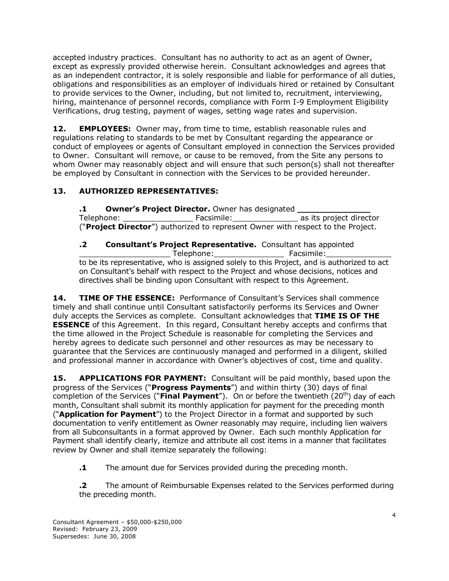accepted industry practices. Consultant has no authority to act as an agent of Owner, except as expressly provided otherwise herein. Consultant acknowledges and agrees that as an independent contractor, it is solely responsible and liable for performance of all duties, obligations and responsibilities as an employer of individuals hired or retained by Consultant to provide services to the Owner, including, but not limited to, recruitment, interviewing, hiring, maintenance of personnel records, compliance with Form I-9 Employment Eligibility Verifications, drug testing, payment of wages, setting wage rates and supervision.

**12. EMPLOYEES:** Owner may, from time to time, establish reasonable rules and regulations relating to standards to be met by Consultant regarding the appearance or conduct of employees or agents of Consultant employed in connection the Services provided to Owner. Consultant will remove, or cause to be removed, from the Site any persons to whom Owner may reasonably object and will ensure that such person(s) shall not thereafter be employed by Consultant in connection with the Services to be provided hereunder.

## **13. AUTHORIZED REPRESENTATIVES:**

**.1 Owner's Project Director.** Owner has designated **\_\_\_\_\_\_\_\_\_\_\_\_\_\_** Telephone: The Facsimile: Telephone: Telephone: Telephone: Telephone: Telephone: Telephone: Telephone: Telephone: Telephone: Telephone: Telephone: Telephone: Telephone: Telephone: Telephone: Telephone: Telephone: Telephone ("**Project Director**") authorized to represent Owner with respect to the Project.

**.2 Consultant's Project Representative.** Consultant has appointed Telephone: The Facsimile: to be its representative, who is assigned solely to this Project, and is authorized to act on Consultant's behalf with respect to the Project and whose decisions, notices and directives shall be binding upon Consultant with respect to this Agreement.

**14. TIME OF THE ESSENCE:** Performance of Consultant's Services shall commence timely and shall continue until Consultant satisfactorily performs its Services and Owner duly accepts the Services as complete. Consultant acknowledges that **TIME IS OF THE ESSENCE** of this Agreement. In this regard, Consultant hereby accepts and confirms that the time allowed in the Project Schedule is reasonable for completing the Services and hereby agrees to dedicate such personnel and other resources as may be necessary to guarantee that the Services are continuously managed and performed in a diligent, skilled and professional manner in accordance with Owner's objectives of cost, time and quality.

**15. APPLICATIONS FOR PAYMENT:** Consultant will be paid monthly, based upon the progress of the Services ("**Progress Payments**") and within thirty (30) days of final completion of the Services ("**Final Payment**"). On or before the twentieth (20<sup>th</sup>) day of each month, Consultant shall submit its monthly application for payment for the preceding month ("**Application for Payment**") to the Project Director in a format and supported by such documentation to verify entitlement as Owner reasonably may require, including lien waivers from all Subconsultants in a format approved by Owner. Each such monthly Application for Payment shall identify clearly, itemize and attribute all cost items in a manner that facilitates review by Owner and shall itemize separately the following:

**.1** The amount due for Services provided during the preceding month.

**.2** The amount of Reimbursable Expenses related to the Services performed during the preceding month.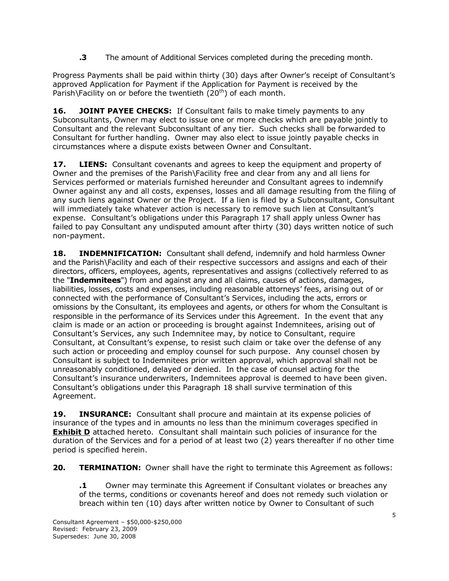**.3** The amount of Additional Services completed during the preceding month.

Progress Payments shall be paid within thirty (30) days after Owner's receipt of Consultant's approved Application for Payment if the Application for Payment is received by the Parish\Facility on or before the twentieth  $(20<sup>th</sup>)$  of each month.

**16. JOINT PAYEE CHECKS:** If Consultant fails to make timely payments to any Subconsultants, Owner may elect to issue one or more checks which are payable jointly to Consultant and the relevant Subconsultant of any tier. Such checks shall be forwarded to Consultant for further handling. Owner may also elect to issue jointly payable checks in circumstances where a dispute exists between Owner and Consultant.

**17. LIENS:** Consultant covenants and agrees to keep the equipment and property of Owner and the premises of the Parish\Facility free and clear from any and all liens for Services performed or materials furnished hereunder and Consultant agrees to indemnify Owner against any and all costs, expenses, losses and all damage resulting from the filing of any such liens against Owner or the Project. If a lien is filed by a Subconsultant, Consultant will immediately take whatever action is necessary to remove such lien at Consultant's expense. Consultant's obligations under this Paragraph 17 shall apply unless Owner has failed to pay Consultant any undisputed amount after thirty (30) days written notice of such non-payment.

**18. INDEMNIFICATION:** Consultant shall defend, indemnify and hold harmless Owner and the Parish\Facility and each of their respective successors and assigns and each of their directors, officers, employees, agents, representatives and assigns (collectively referred to as the "**Indemnitees**") from and against any and all claims, causes of actions, damages, liabilities, losses, costs and expenses, including reasonable attorneys' fees, arising out of or connected with the performance of Consultant's Services, including the acts, errors or omissions by the Consultant, its employees and agents, or others for whom the Consultant is responsible in the performance of its Services under this Agreement. In the event that any claim is made or an action or proceeding is brought against Indemnitees, arising out of Consultant's Services, any such Indemnitee may, by notice to Consultant, require Consultant, at Consultant's expense, to resist such claim or take over the defense of any such action or proceeding and employ counsel for such purpose. Any counsel chosen by Consultant is subject to Indemnitees prior written approval, which approval shall not be unreasonably conditioned, delayed or denied. In the case of counsel acting for the Consultant's insurance underwriters, Indemnitees approval is deemed to have been given. Consultant's obligations under this Paragraph 18 shall survive termination of this Agreement.

**19. INSURANCE:** Consultant shall procure and maintain at its expense policies of insurance of the types and in amounts no less than the minimum coverages specified in **Exhibit D** attached hereto. Consultant shall maintain such policies of insurance for the duration of the Services and for a period of at least two (2) years thereafter if no other time period is specified herein.

**20. TERMINATION:** Owner shall have the right to terminate this Agreement as follows:

**.1** Owner may terminate this Agreement if Consultant violates or breaches any of the terms, conditions or covenants hereof and does not remedy such violation or breach within ten (10) days after written notice by Owner to Consultant of such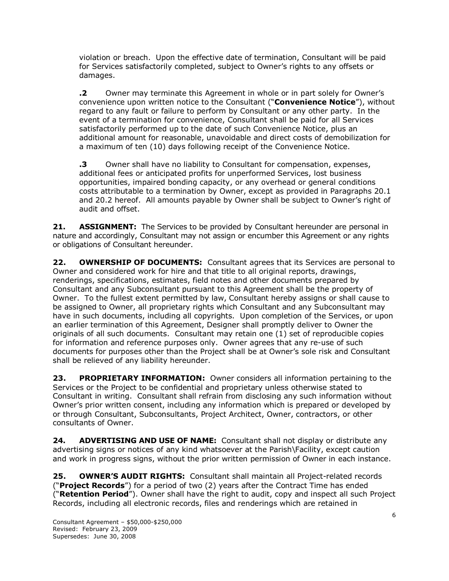violation or breach. Upon the effective date of termination, Consultant will be paid for Services satisfactorily completed, subject to Owner's rights to any offsets or damages.

**.2** Owner may terminate this Agreement in whole or in part solely for Owner's convenience upon written notice to the Consultant ("**Convenience Notice**"), without regard to any fault or failure to perform by Consultant or any other party. In the event of a termination for convenience, Consultant shall be paid for all Services satisfactorily performed up to the date of such Convenience Notice, plus an additional amount for reasonable, unavoidable and direct costs of demobilization for a maximum of ten (10) days following receipt of the Convenience Notice.

**.3** Owner shall have no liability to Consultant for compensation, expenses, additional fees or anticipated profits for unperformed Services, lost business opportunities, impaired bonding capacity, or any overhead or general conditions costs attributable to a termination by Owner, except as provided in Paragraphs 20.1 and 20.2 hereof. All amounts payable by Owner shall be subject to Owner's right of audit and offset.

**21. ASSIGNMENT:** The Services to be provided by Consultant hereunder are personal in nature and accordingly, Consultant may not assign or encumber this Agreement or any rights or obligations of Consultant hereunder.

**22. OWNERSHIP OF DOCUMENTS:** Consultant agrees that its Services are personal to Owner and considered work for hire and that title to all original reports, drawings, renderings, specifications, estimates, field notes and other documents prepared by Consultant and any Subconsultant pursuant to this Agreement shall be the property of Owner. To the fullest extent permitted by law, Consultant hereby assigns or shall cause to be assigned to Owner, all proprietary rights which Consultant and any Subconsultant may have in such documents, including all copyrights. Upon completion of the Services, or upon an earlier termination of this Agreement, Designer shall promptly deliver to Owner the originals of all such documents. Consultant may retain one (1) set of reproducible copies for information and reference purposes only. Owner agrees that any re-use of such documents for purposes other than the Project shall be at Owner's sole risk and Consultant shall be relieved of any liability hereunder.

**23. PROPRIETARY INFORMATION:** Owner considers all information pertaining to the Services or the Project to be confidential and proprietary unless otherwise stated to Consultant in writing. Consultant shall refrain from disclosing any such information without Owner's prior written consent, including any information which is prepared or developed by or through Consultant, Subconsultants, Project Architect, Owner, contractors, or other consultants of Owner.

**24. ADVERTISING AND USE OF NAME:** Consultant shall not display or distribute any advertising signs or notices of any kind whatsoever at the Parish\Facility, except caution and work in progress signs, without the prior written permission of Owner in each instance.

**25. OWNER'S AUDIT RIGHTS:** Consultant shall maintain all Project-related records ("**Project Records**") for a period of two (2) years after the Contract Time has ended ("**Retention Period**"). Owner shall have the right to audit, copy and inspect all such Project Records, including all electronic records, files and renderings which are retained in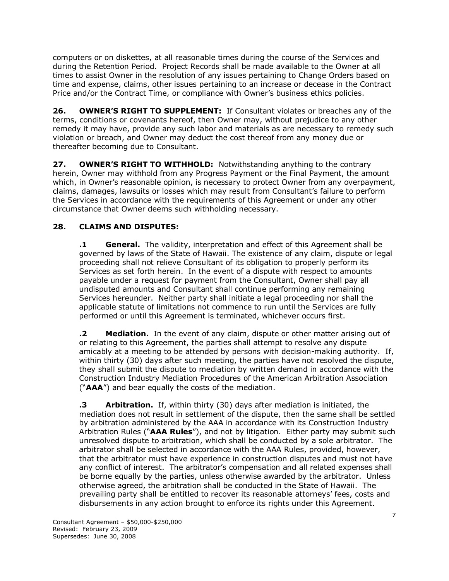computers or on diskettes, at all reasonable times during the course of the Services and during the Retention Period. Project Records shall be made available to the Owner at all times to assist Owner in the resolution of any issues pertaining to Change Orders based on time and expense, claims, other issues pertaining to an increase or decease in the Contract Price and/or the Contract Time, or compliance with Owner's business ethics policies.

**26. OWNER'S RIGHT TO SUPPLEMENT:** If Consultant violates or breaches any of the terms, conditions or covenants hereof, then Owner may, without prejudice to any other remedy it may have, provide any such labor and materials as are necessary to remedy such violation or breach, and Owner may deduct the cost thereof from any money due or thereafter becoming due to Consultant.

**27. OWNER'S RIGHT TO WITHHOLD:** Notwithstanding anything to the contrary herein, Owner may withhold from any Progress Payment or the Final Payment, the amount which, in Owner's reasonable opinion, is necessary to protect Owner from any overpayment, claims, damages, lawsuits or losses which may result from Consultant's failure to perform the Services in accordance with the requirements of this Agreement or under any other circumstance that Owner deems such withholding necessary.

### **28. CLAIMS AND DISPUTES:**

**.1 General.** The validity, interpretation and effect of this Agreement shall be governed by laws of the State of Hawaii. The existence of any claim, dispute or legal proceeding shall not relieve Consultant of its obligation to properly perform its Services as set forth herein. In the event of a dispute with respect to amounts payable under a request for payment from the Consultant, Owner shall pay all undisputed amounts and Consultant shall continue performing any remaining Services hereunder. Neither party shall initiate a legal proceeding nor shall the applicable statute of limitations not commence to run until the Services are fully performed or until this Agreement is terminated, whichever occurs first.

**.2 Mediation.** In the event of any claim, dispute or other matter arising out of or relating to this Agreement, the parties shall attempt to resolve any dispute amicably at a meeting to be attended by persons with decision-making authority. If, within thirty (30) days after such meeting, the parties have not resolved the dispute, they shall submit the dispute to mediation by written demand in accordance with the Construction Industry Mediation Procedures of the American Arbitration Association ("**AAA**") and bear equally the costs of the mediation.

**.3 Arbitration.** If, within thirty (30) days after mediation is initiated, the mediation does not result in settlement of the dispute, then the same shall be settled by arbitration administered by the AAA in accordance with its Construction Industry Arbitration Rules ("**AAA Rules**"), and not by litigation. Either party may submit such unresolved dispute to arbitration, which shall be conducted by a sole arbitrator. The arbitrator shall be selected in accordance with the AAA Rules, provided, however, that the arbitrator must have experience in construction disputes and must not have any conflict of interest. The arbitrator's compensation and all related expenses shall be borne equally by the parties, unless otherwise awarded by the arbitrator. Unless otherwise agreed, the arbitration shall be conducted in the State of Hawaii. The prevailing party shall be entitled to recover its reasonable attorneys' fees, costs and disbursements in any action brought to enforce its rights under this Agreement.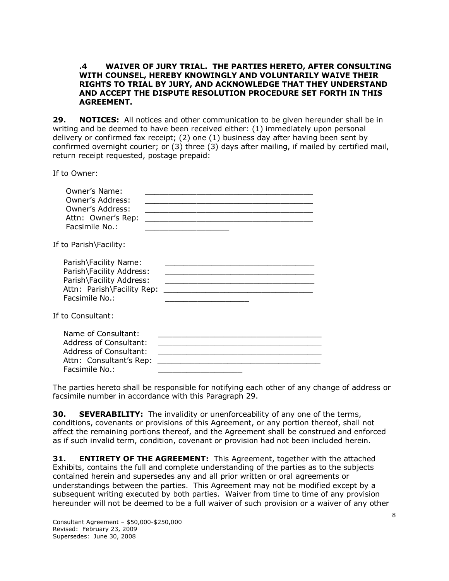#### **.4 WAIVER OF JURY TRIAL. THE PARTIES HERETO, AFTER CONSULTING WITH COUNSEL, HEREBY KNOWINGLY AND VOLUNTARILY WAIVE THEIR RIGHTS TO TRIAL BY JURY, AND ACKNOWLEDGE THAT THEY UNDERSTAND AND ACCEPT THE DISPUTE RESOLUTION PROCEDURE SET FORTH IN THIS AGREEMENT.**

**29. NOTICES:** All notices and other communication to be given hereunder shall be in writing and be deemed to have been received either: (1) immediately upon personal delivery or confirmed fax receipt; (2) one (1) business day after having been sent by confirmed overnight courier; or (3) three (3) days after mailing, if mailed by certified mail, return receipt requested, postage prepaid:

If to Owner:

| Owner's Name:<br>Owner's Address:<br>Owner's Address:<br>Attn: Owner's Rep:<br>Facsimile No.:                                 |  |
|-------------------------------------------------------------------------------------------------------------------------------|--|
| If to Parish\Facility:                                                                                                        |  |
| Parish\Facility Name:<br>Parish\Facility Address:<br>Parish\Facility Address:<br>Attn: Parish\Facility Rep:<br>Facsimile No.: |  |
| If to Consultant:                                                                                                             |  |
| Name of Consultant:<br>Address of Consultant:<br>Address of Consultant:<br>Attn: Consultant's Rep:<br>Facsimile No.:          |  |

The parties hereto shall be responsible for notifying each other of any change of address or facsimile number in accordance with this Paragraph 29.

**30. SEVERABILITY:** The invalidity or unenforceability of any one of the terms, conditions, covenants or provisions of this Agreement, or any portion thereof, shall not affect the remaining portions thereof, and the Agreement shall be construed and enforced as if such invalid term, condition, covenant or provision had not been included herein.

**31. ENTIRETY OF THE AGREEMENT:** This Agreement, together with the attached Exhibits, contains the full and complete understanding of the parties as to the subjects contained herein and supersedes any and all prior written or oral agreements or understandings between the parties. This Agreement may not be modified except by a subsequent writing executed by both parties. Waiver from time to time of any provision hereunder will not be deemed to be a full waiver of such provision or a waiver of any other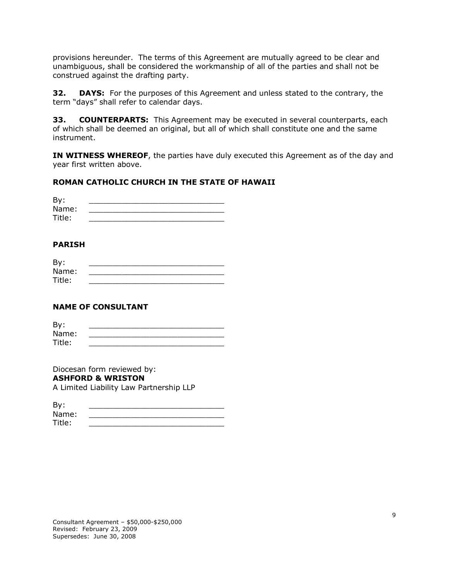provisions hereunder. The terms of this Agreement are mutually agreed to be clear and unambiguous, shall be considered the workmanship of all of the parties and shall not be construed against the drafting party.

**32. DAYS:** For the purposes of this Agreement and unless stated to the contrary, the term "days" shall refer to calendar days.

**33. COUNTERPARTS:** This Agreement may be executed in several counterparts, each of which shall be deemed an original, but all of which shall constitute one and the same instrument.

**IN WITNESS WHEREOF**, the parties have duly executed this Agreement as of the day and year first written above.

### **ROMAN CATHOLIC CHURCH IN THE STATE OF HAWAII**

| By:    |  |
|--------|--|
| Name:  |  |
| Title: |  |

#### **PARISH**

| By:    |  |
|--------|--|
| Name:  |  |
| Title: |  |

### **NAME OF CONSULTANT**

| By:    |  |
|--------|--|
| Name:  |  |
| Title: |  |

Diocesan form reviewed by: **ASHFORD & WRISTON** A Limited Liability Law Partnership LLP

| By:    |  |
|--------|--|
| Name:  |  |
| Title: |  |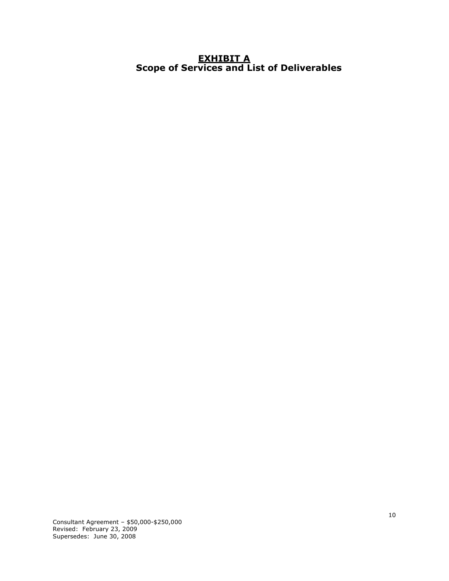### **EXHIBIT A Scope of Services and List of Deliverables**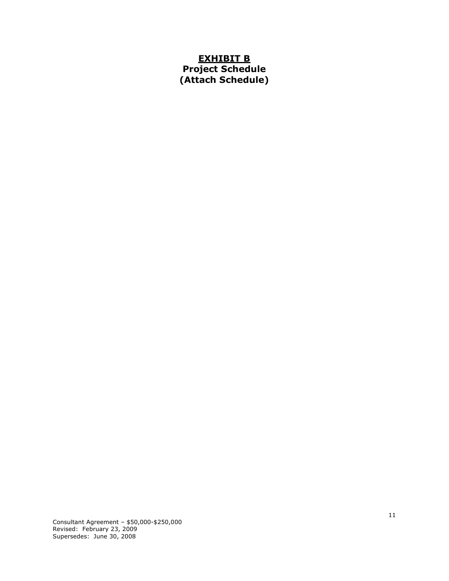# **EXHIBIT B Project Schedule (Attach Schedule)**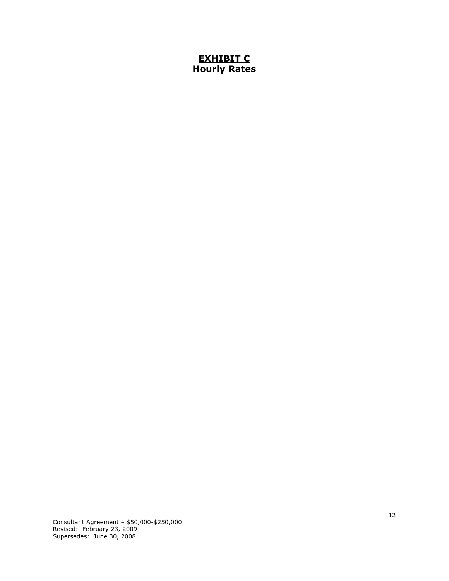# **EXHIBIT C Hourly Rates**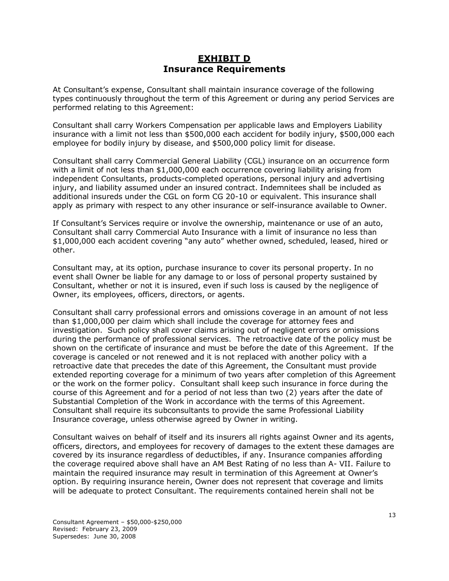## **EXHIBIT D Insurance Requirements**

At Consultant's expense, Consultant shall maintain insurance coverage of the following types continuously throughout the term of this Agreement or during any period Services are performed relating to this Agreement:

Consultant shall carry Workers Compensation per applicable laws and Employers Liability insurance with a limit not less than \$500,000 each accident for bodily injury, \$500,000 each employee for bodily injury by disease, and \$500,000 policy limit for disease.

Consultant shall carry Commercial General Liability (CGL) insurance on an occurrence form with a limit of not less than \$1,000,000 each occurrence covering liability arising from independent Consultants, products-completed operations, personal injury and advertising injury, and liability assumed under an insured contract. Indemnitees shall be included as additional insureds under the CGL on form CG 20-10 or equivalent. This insurance shall apply as primary with respect to any other insurance or self-insurance available to Owner.

If Consultant's Services require or involve the ownership, maintenance or use of an auto, Consultant shall carry Commercial Auto Insurance with a limit of insurance no less than \$1,000,000 each accident covering "any auto" whether owned, scheduled, leased, hired or other.

Consultant may, at its option, purchase insurance to cover its personal property. In no event shall Owner be liable for any damage to or loss of personal property sustained by Consultant, whether or not it is insured, even if such loss is caused by the negligence of Owner, its employees, officers, directors, or agents.

Consultant shall carry professional errors and omissions coverage in an amount of not less than \$1,000,000 per claim which shall include the coverage for attorney fees and investigation. Such policy shall cover claims arising out of negligent errors or omissions during the performance of professional services. The retroactive date of the policy must be shown on the certificate of insurance and must be before the date of this Agreement. If the coverage is canceled or not renewed and it is not replaced with another policy with a retroactive date that precedes the date of this Agreement, the Consultant must provide extended reporting coverage for a minimum of two years after completion of this Agreement or the work on the former policy. Consultant shall keep such insurance in force during the course of this Agreement and for a period of not less than two (2) years after the date of Substantial Completion of the Work in accordance with the terms of this Agreement. Consultant shall require its subconsultants to provide the same Professional Liability Insurance coverage, unless otherwise agreed by Owner in writing.

Consultant waives on behalf of itself and its insurers all rights against Owner and its agents, officers, directors, and employees for recovery of damages to the extent these damages are covered by its insurance regardless of deductibles, if any. Insurance companies affording the coverage required above shall have an AM Best Rating of no less than A- VII. Failure to maintain the required insurance may result in termination of this Agreement at Owner's option. By requiring insurance herein, Owner does not represent that coverage and limits will be adequate to protect Consultant. The requirements contained herein shall not be